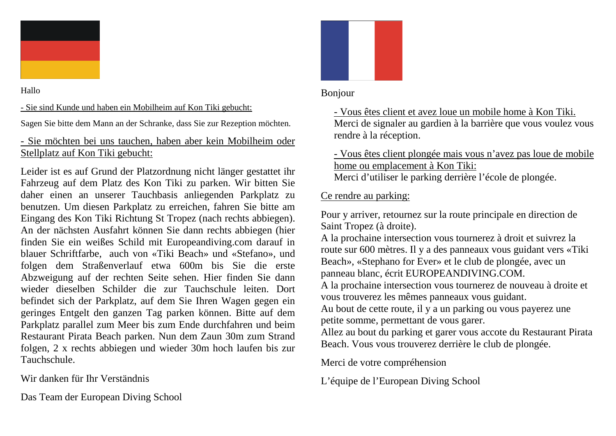

Hallo

## - Sie sind Kunde und haben ein Mobilheim auf Kon Tiki gebucht:

Sagen Sie bitte dem Mann an der Schranke, dass Sie zur Rezeption möchten.

## - Sie möchten bei uns tauchen, haben aber kein Mobilheim oder Stellplatz auf Kon Tiki gebucht:

Leider ist es auf Grund der Platzordnung nicht länger gestattet ihr Fahrzeug auf dem Platz des Kon Tiki zu parken. Wir bitten Sie daher einen an unserer Tauchbasis anliegenden Parkplatz zu benutzen. Um diesen Parkplatz zu erreichen, fahren Sie bitte am Eingang des Kon Tiki Richtung St Tropez (nach rechts abbiegen). An der nächsten Ausfahrt können Sie dann rechts abbiegen (hier finden Sie ein weißes Schild mit Europeandiving.com darauf in blauer Schriftfarbe, auch von «Tiki Beach» und «Stefano», und folgen dem Straßenverlauf etwa 600m bis Sie die erste Abzweigung auf der rechten Seite sehen. Hier finden Sie dann wieder dieselben Schilder die zur Tauchschule leiten. Dort befindet sich der Parkplatz, auf dem Sie Ihren Wagen gegen ein geringes Entgelt den ganzen Tag parken können. Bitte auf dem Parkplatz parallel zum Meer bis zum Ende durchfahren und beim Restaurant Pirata Beach parken. Nun dem Zaun 30m zum Strand folgen, 2 x rechts abbiegen und wieder 30m hoch laufen bis zur Tauchschule.

Wir danken für Ihr Verständnis

Das Team der European Diving School



## Bonjour

- Vous êtes client et avez loue un mobile home à Kon Tiki. Merci de signaler au gardien à la barrière que vous voulez vous rendre à la réception.

- Vous êtes client plongée mais vous n'avez pas loue de mobile home ou emplacement à Kon Tiki:

Merci d'utiliser le parking derrière l'école de plongée.

## Ce rendre au parking:

Pour y arriver, retournez sur la route principale en direction de Saint Tropez (à droite).

A la prochaine intersection vous tournerez à droit et suivrez la route sur 600 mètres. Il y a des panneaux vous guidant vers «Tiki Beach», «Stephano for Ever» et le club de plongée, avec un panneau blanc, écrit EUROPEANDIVING.COM.

A la prochaine intersection vous tournerez de nouveau à droite et vous trouverez les mêmes panneaux vous guidant.

Au bout de cette route, il y a un parking ou vous payerez une petite somme, permettant de vous garer.

Allez au bout du parking et garer vous accote du Restaurant Pirata Beach. Vous vous trouverez derrière le club de plongée.

Merci de votre compréhension

L'équipe de l'European Diving School